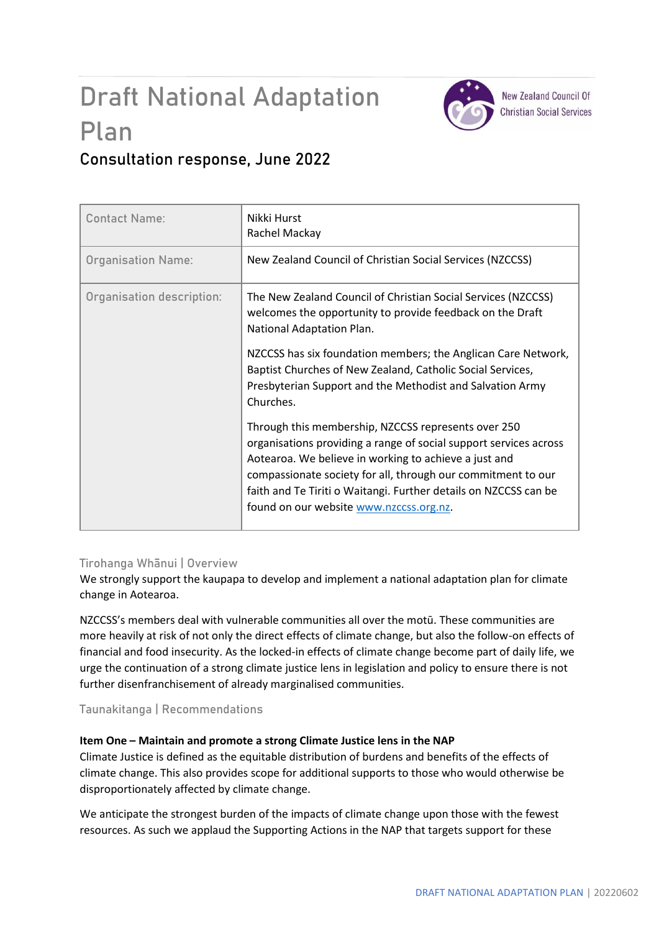# Draft National Adaptation Plan



**New Zealand Council Of Christian Social Services** 

# **Consultation response, June 2022**

| <b>Contact Name:</b>      | Nikki Hurst<br>Rachel Mackay                                                                                                                                                                                                                                                                                                                                     |
|---------------------------|------------------------------------------------------------------------------------------------------------------------------------------------------------------------------------------------------------------------------------------------------------------------------------------------------------------------------------------------------------------|
| <b>Organisation Name:</b> | New Zealand Council of Christian Social Services (NZCCSS)                                                                                                                                                                                                                                                                                                        |
| Organisation description: | The New Zealand Council of Christian Social Services (NZCCSS)<br>welcomes the opportunity to provide feedback on the Draft<br>National Adaptation Plan.                                                                                                                                                                                                          |
|                           | NZCCSS has six foundation members; the Anglican Care Network,<br>Baptist Churches of New Zealand, Catholic Social Services,<br>Presbyterian Support and the Methodist and Salvation Army<br>Churches.                                                                                                                                                            |
|                           | Through this membership, NZCCSS represents over 250<br>organisations providing a range of social support services across<br>Aotearoa. We believe in working to achieve a just and<br>compassionate society for all, through our commitment to our<br>faith and Te Tiriti o Waitangi. Further details on NZCCSS can be<br>found on our website www.nzccss.org.nz. |

## **Tirohanga Whānui | Overview**

We strongly support the kaupapa to develop and implement a national adaptation plan for climate change in Aotearoa.

NZCCSS's members deal with vulnerable communities all over the motū. These communities are more heavily at risk of not only the direct effects of climate change, but also the follow-on effects of financial and food insecurity. As the locked-in effects of climate change become part of daily life, we urge the continuation of a strong climate justice lens in legislation and policy to ensure there is not further disenfranchisement of already marginalised communities.

#### **Taunakitanga | Recommendations**

#### **Item One – Maintain and promote a strong Climate Justice lens in the NAP**

Climate Justice is defined as the equitable distribution of burdens and benefits of the effects of climate change. This also provides scope for additional supports to those who would otherwise be disproportionately affected by climate change.

We anticipate the strongest burden of the impacts of climate change upon those with the fewest resources. As such we applaud the Supporting Actions in the NAP that targets support for these